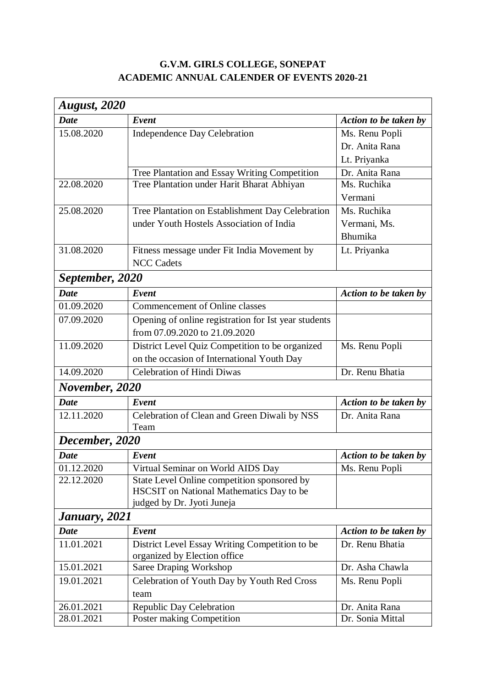## **G.V.M. GIRLS COLLEGE, SONEPAT ACADEMIC ANNUAL CALENDER OF EVENTS 2020-21**

| <b>August, 2020</b> |                                                                                |                       |  |
|---------------------|--------------------------------------------------------------------------------|-----------------------|--|
| <b>Date</b>         | Event                                                                          | Action to be taken by |  |
| 15.08.2020          | <b>Independence Day Celebration</b>                                            | Ms. Renu Popli        |  |
|                     |                                                                                | Dr. Anita Rana        |  |
|                     |                                                                                | Lt. Priyanka          |  |
|                     | Tree Plantation and Essay Writing Competition                                  | Dr. Anita Rana        |  |
| 22.08.2020          | Tree Plantation under Harit Bharat Abhiyan                                     | Ms. Ruchika           |  |
|                     |                                                                                | Vermani               |  |
| 25.08.2020          | Tree Plantation on Establishment Day Celebration                               | Ms. Ruchika           |  |
|                     | under Youth Hostels Association of India                                       | Vermani, Ms.          |  |
|                     |                                                                                | Bhumika               |  |
| 31.08.2020          | Fitness message under Fit India Movement by                                    | Lt. Priyanka          |  |
|                     | <b>NCC Cadets</b>                                                              |                       |  |
| September, 2020     |                                                                                |                       |  |
| <b>Date</b>         | Event                                                                          | Action to be taken by |  |
| 01.09.2020          | Commencement of Online classes                                                 |                       |  |
| 07.09.2020          | Opening of online registration for Ist year students                           |                       |  |
|                     | from 07.09.2020 to 21.09.2020                                                  |                       |  |
| 11.09.2020          | District Level Quiz Competition to be organized                                | Ms. Renu Popli        |  |
|                     | on the occasion of International Youth Day                                     |                       |  |
| 14.09.2020          | <b>Celebration of Hindi Diwas</b>                                              | Dr. Renu Bhatia       |  |
| November, 2020      |                                                                                |                       |  |
| <b>Date</b>         | Event                                                                          | Action to be taken by |  |
| 12.11.2020          | Celebration of Clean and Green Diwali by NSS                                   | Dr. Anita Rana        |  |
|                     | Team                                                                           |                       |  |
| December, 2020      |                                                                                |                       |  |
| <b>Date</b>         | Event                                                                          | Action to be taken by |  |
| 01.12.2020          | Virtual Seminar on World AIDS Day                                              | Ms. Renu Popli        |  |
| 22.12.2020          | State Level Online competition sponsored by                                    |                       |  |
|                     | HSCSIT on National Mathematics Day to be                                       |                       |  |
|                     | judged by Dr. Jyoti Juneja                                                     |                       |  |
| January, 2021       |                                                                                |                       |  |
| <b>Date</b>         | Event                                                                          | Action to be taken by |  |
| 11.01.2021          | District Level Essay Writing Competition to be<br>organized by Election office | Dr. Renu Bhatia       |  |
| 15.01.2021          | Saree Draping Workshop                                                         | Dr. Asha Chawla       |  |
| 19.01.2021          | Celebration of Youth Day by Youth Red Cross                                    | Ms. Renu Popli        |  |
|                     | team                                                                           |                       |  |
| 26.01.2021          | <b>Republic Day Celebration</b>                                                | Dr. Anita Rana        |  |
| 28.01.2021          | Poster making Competition                                                      | Dr. Sonia Mittal      |  |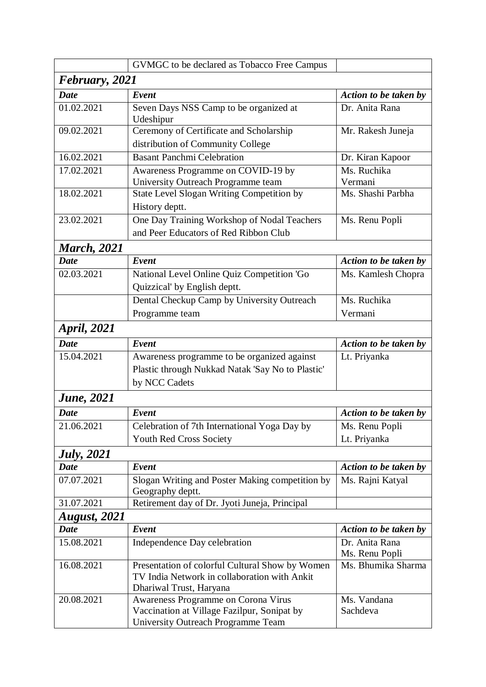|                     | GVMGC to be declared as Tobacco Free Campus                    |                       |  |  |
|---------------------|----------------------------------------------------------------|-----------------------|--|--|
| February, 2021      |                                                                |                       |  |  |
| <b>Date</b>         | Event                                                          | Action to be taken by |  |  |
| 01.02.2021          | Seven Days NSS Camp to be organized at<br>Udeshipur            | Dr. Anita Rana        |  |  |
| 09.02.2021          | Ceremony of Certificate and Scholarship                        | Mr. Rakesh Juneja     |  |  |
|                     | distribution of Community College                              |                       |  |  |
| 16.02.2021          | <b>Basant Panchmi Celebration</b>                              | Dr. Kiran Kapoor      |  |  |
| 17.02.2021          | Awareness Programme on COVID-19 by                             | Ms. Ruchika           |  |  |
|                     | University Outreach Programme team                             | Vermani               |  |  |
| 18.02.2021          | State Level Slogan Writing Competition by                      | Ms. Shashi Parbha     |  |  |
|                     | History deptt.                                                 |                       |  |  |
| 23.02.2021          | One Day Training Workshop of Nodal Teachers                    | Ms. Renu Popli        |  |  |
|                     | and Peer Educators of Red Ribbon Club                          |                       |  |  |
| <b>March</b> , 2021 |                                                                |                       |  |  |
| <b>Date</b>         | Event                                                          | Action to be taken by |  |  |
| 02.03.2021          | National Level Online Quiz Competition 'Go                     | Ms. Kamlesh Chopra    |  |  |
|                     | Quizzical' by English deptt.                                   |                       |  |  |
|                     | Dental Checkup Camp by University Outreach                     | Ms. Ruchika           |  |  |
|                     | Programme team                                                 | Vermani               |  |  |
| <i>April, 2021</i>  |                                                                |                       |  |  |
| <b>Date</b>         | Event                                                          | Action to be taken by |  |  |
| 15.04.2021          |                                                                |                       |  |  |
|                     | Awareness programme to be organized against                    | Lt. Priyanka          |  |  |
|                     | Plastic through Nukkad Natak 'Say No to Plastic'               |                       |  |  |
|                     | by NCC Cadets                                                  |                       |  |  |
| <b>June</b> , 2021  |                                                                |                       |  |  |
| <b>Date</b>         | Event                                                          | Action to be taken by |  |  |
| 21.06.2021          | Celebration of 7th International Yoga Day by                   | Ms. Renu Popli        |  |  |
|                     | Youth Red Cross Society                                        | Lt. Priyanka          |  |  |
| <b>July</b> , 2021  |                                                                |                       |  |  |
| <b>Date</b>         | Event                                                          | Action to be taken by |  |  |
| 07.07.2021          | Slogan Writing and Poster Making competition by                | Ms. Rajni Katyal      |  |  |
|                     | Geography deptt.                                               |                       |  |  |
| 31.07.2021          | Retirement day of Dr. Jyoti Juneja, Principal                  |                       |  |  |
| <b>August, 2021</b> |                                                                |                       |  |  |
| <b>Date</b>         | Event                                                          | Action to be taken by |  |  |
| 15.08.2021          | Independence Day celebration                                   | Dr. Anita Rana        |  |  |
|                     |                                                                | Ms. Renu Popli        |  |  |
| 16.08.2021          | Presentation of colorful Cultural Show by Women                | Ms. Bhumika Sharma    |  |  |
|                     | TV India Network in collaboration with Ankit                   |                       |  |  |
| 20.08.2021          | Dhariwal Trust, Haryana<br>Awareness Programme on Corona Virus | Ms. Vandana           |  |  |
|                     | Vaccination at Village Fazilpur, Sonipat by                    | Sachdeva              |  |  |
|                     | University Outreach Programme Team                             |                       |  |  |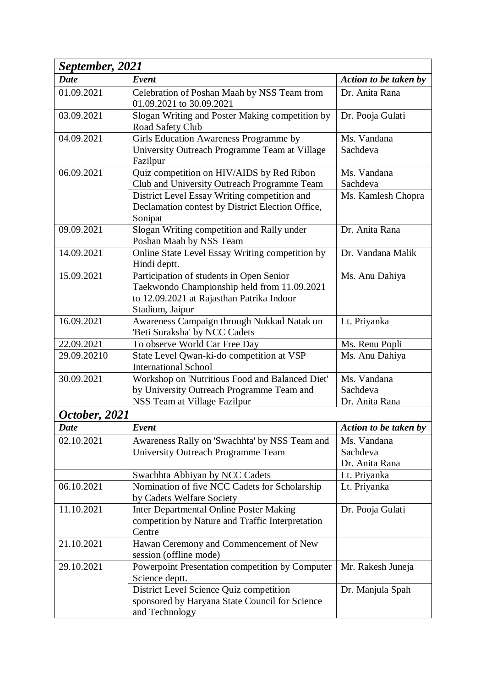| September, 2021 |                                                                                         |                         |  |
|-----------------|-----------------------------------------------------------------------------------------|-------------------------|--|
| <b>Date</b>     | Event                                                                                   | Action to be taken by   |  |
| 01.09.2021      | Celebration of Poshan Maah by NSS Team from<br>01.09.2021 to 30.09.2021                 | Dr. Anita Rana          |  |
| 03.09.2021      | Slogan Writing and Poster Making competition by<br>Road Safety Club                     | Dr. Pooja Gulati        |  |
| 04.09.2021      | Girls Education Awareness Programme by<br>University Outreach Programme Team at Village | Ms. Vandana<br>Sachdeva |  |
|                 | Fazilpur                                                                                |                         |  |
| 06.09.2021      | Quiz competition on HIV/AIDS by Red Ribon                                               | Ms. Vandana             |  |
|                 | Club and University Outreach Programme Team                                             | Sachdeva                |  |
|                 | District Level Essay Writing competition and                                            | Ms. Kamlesh Chopra      |  |
|                 | Declamation contest by District Election Office,<br>Sonipat                             |                         |  |
| 09.09.2021      | Slogan Writing competition and Rally under<br>Poshan Maah by NSS Team                   | Dr. Anita Rana          |  |
| 14.09.2021      | Online State Level Essay Writing competition by                                         | Dr. Vandana Malik       |  |
|                 | Hindi deptt.                                                                            |                         |  |
| 15.09.2021      | Participation of students in Open Senior                                                | Ms. Anu Dahiya          |  |
|                 | Taekwondo Championship held from 11.09.2021                                             |                         |  |
|                 | to 12.09.2021 at Rajasthan Patrika Indoor<br>Stadium, Jaipur                            |                         |  |
| 16.09.2021      | Awareness Campaign through Nukkad Natak on                                              | Lt. Priyanka            |  |
|                 | 'Beti Suraksha' by NCC Cadets                                                           |                         |  |
| 22.09.2021      | To observe World Car Free Day                                                           | Ms. Renu Popli          |  |
| 29.09.20210     | State Level Qwan-ki-do competition at VSP                                               | Ms. Anu Dahiya          |  |
| 30.09.2021      | <b>International School</b><br>Workshop on 'Nutritious Food and Balanced Diet'          | Ms. Vandana             |  |
|                 | by University Outreach Programme Team and                                               | Sachdeva                |  |
|                 | NSS Team at Village Fazilpur                                                            | Dr. Anita Rana          |  |
| October, 2021   |                                                                                         |                         |  |
| Date            | Event                                                                                   | Action to be taken by   |  |
| 02.10.2021      | Awareness Rally on 'Swachhta' by NSS Team and                                           | Ms. Vandana             |  |
|                 | University Outreach Programme Team                                                      | Sachdeva                |  |
|                 |                                                                                         | Dr. Anita Rana          |  |
|                 | Swachhta Abhiyan by NCC Cadets                                                          | Lt. Priyanka            |  |
| 06.10.2021      | Nomination of five NCC Cadets for Scholarship                                           | Lt. Priyanka            |  |
|                 | by Cadets Welfare Society                                                               |                         |  |
| 11.10.2021      | Inter Departmental Online Poster Making                                                 | Dr. Pooja Gulati        |  |
|                 | competition by Nature and Traffic Interpretation                                        |                         |  |
|                 | Centre                                                                                  |                         |  |
| 21.10.2021      | Hawan Ceremony and Commencement of New                                                  |                         |  |
|                 | session (offline mode)                                                                  |                         |  |
| 29.10.2021      | Powerpoint Presentation competition by Computer<br>Science deptt.                       | Mr. Rakesh Juneja       |  |
|                 | District Level Science Quiz competition                                                 | Dr. Manjula Spah        |  |
|                 | sponsored by Haryana State Council for Science                                          |                         |  |
|                 | and Technology                                                                          |                         |  |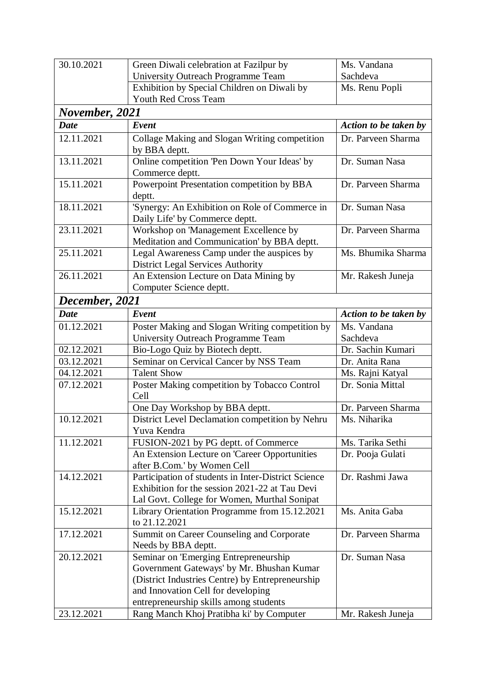| 30.10.2021     | Green Diwali celebration at Fazilpur by                                                                                                                                                                                | Ms. Vandana           |
|----------------|------------------------------------------------------------------------------------------------------------------------------------------------------------------------------------------------------------------------|-----------------------|
|                | University Outreach Programme Team                                                                                                                                                                                     | Sachdeva              |
|                | Exhibition by Special Children on Diwali by                                                                                                                                                                            | Ms. Renu Popli        |
|                | Youth Red Cross Team                                                                                                                                                                                                   |                       |
| November, 2021 |                                                                                                                                                                                                                        |                       |
| <b>Date</b>    | Event                                                                                                                                                                                                                  | Action to be taken by |
| 12.11.2021     | Collage Making and Slogan Writing competition<br>by BBA deptt.                                                                                                                                                         | Dr. Parveen Sharma    |
| 13.11.2021     | Online competition 'Pen Down Your Ideas' by<br>Commerce deptt.                                                                                                                                                         | Dr. Suman Nasa        |
| 15.11.2021     | Powerpoint Presentation competition by BBA<br>deptt.                                                                                                                                                                   | Dr. Parveen Sharma    |
| 18.11.2021     | 'Synergy: An Exhibition on Role of Commerce in<br>Daily Life' by Commerce deptt.                                                                                                                                       | Dr. Suman Nasa        |
| 23.11.2021     | Workshop on 'Management Excellence by<br>Meditation and Communication' by BBA deptt.                                                                                                                                   | Dr. Parveen Sharma    |
| 25.11.2021     | Legal Awareness Camp under the auspices by<br><b>District Legal Services Authority</b>                                                                                                                                 | Ms. Bhumika Sharma    |
| 26.11.2021     | An Extension Lecture on Data Mining by<br>Computer Science deptt.                                                                                                                                                      | Mr. Rakesh Juneja     |
| December, 2021 |                                                                                                                                                                                                                        |                       |
| <b>Date</b>    | Event                                                                                                                                                                                                                  | Action to be taken by |
| 01.12.2021     | Poster Making and Slogan Writing competition by                                                                                                                                                                        | Ms. Vandana           |
|                | University Outreach Programme Team                                                                                                                                                                                     | Sachdeva              |
| 02.12.2021     | Bio-Logo Quiz by Biotech deptt.                                                                                                                                                                                        | Dr. Sachin Kumari     |
| 03.12.2021     | Seminar on Cervical Cancer by NSS Team                                                                                                                                                                                 | Dr. Anita Rana        |
| 04.12.2021     | <b>Talent Show</b>                                                                                                                                                                                                     | Ms. Rajni Katyal      |
| 07.12.2021     | Poster Making competition by Tobacco Control<br>Cell                                                                                                                                                                   | Dr. Sonia Mittal      |
|                | One Day Workshop by BBA deptt.                                                                                                                                                                                         | Dr. Parveen Sharma    |
| 10.12.2021     | District Level Declamation competition by Nehru<br>Yuva Kendra                                                                                                                                                         | Ms. Niharika          |
| 11.12.2021     | FUSION-2021 by PG deptt. of Commerce                                                                                                                                                                                   | Ms. Tarika Sethi      |
|                | An Extension Lecture on 'Career Opportunities<br>after B.Com.' by Women Cell                                                                                                                                           | Dr. Pooja Gulati      |
| 14.12.2021     | Participation of students in Inter-District Science<br>Exhibition for the session 2021-22 at Tau Devi<br>Lal Govt. College for Women, Murthal Sonipat                                                                  | Dr. Rashmi Jawa       |
| 15.12.2021     | Library Orientation Programme from 15.12.2021<br>to 21.12.2021                                                                                                                                                         | Ms. Anita Gaba        |
| 17.12.2021     | Summit on Career Counseling and Corporate<br>Needs by BBA deptt.                                                                                                                                                       | Dr. Parveen Sharma    |
| 20.12.2021     | Seminar on 'Emerging Entrepreneurship<br>Government Gateways' by Mr. Bhushan Kumar<br>(District Industries Centre) by Entrepreneurship<br>and Innovation Cell for developing<br>entrepreneurship skills among students | Dr. Suman Nasa        |
| 23.12.2021     | Rang Manch Khoj Pratibha ki' by Computer                                                                                                                                                                               | Mr. Rakesh Juneja     |